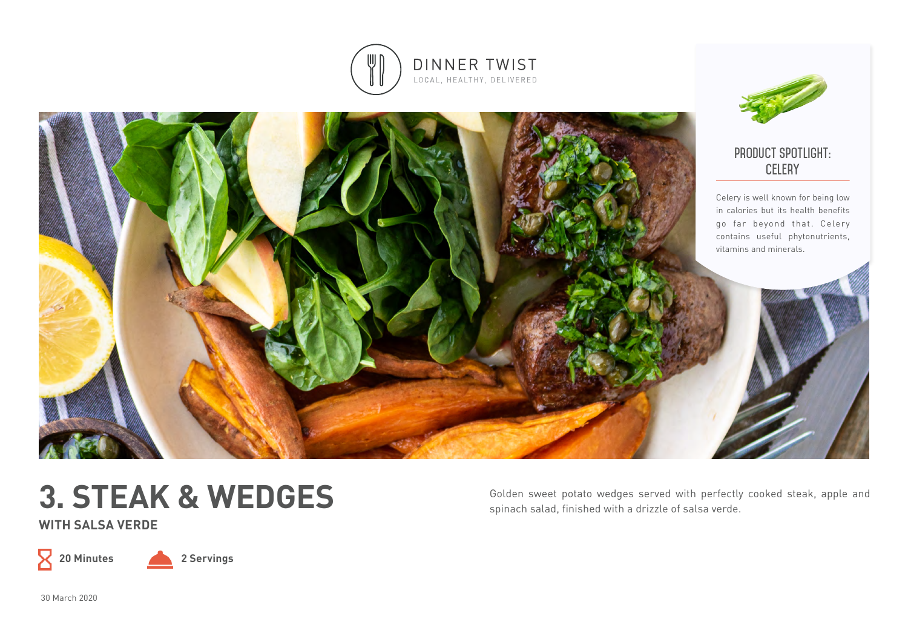



# **3. STEAK & WEDGES**

**WITH SALSA VERDE** 

 $\mathsf X$ 

**20 Minutes 2 Servings**

Golden sweet potato wedges served with perfectly cooked steak, apple and spinach salad, finished with a drizzle of salsa verde.

30 March 2020